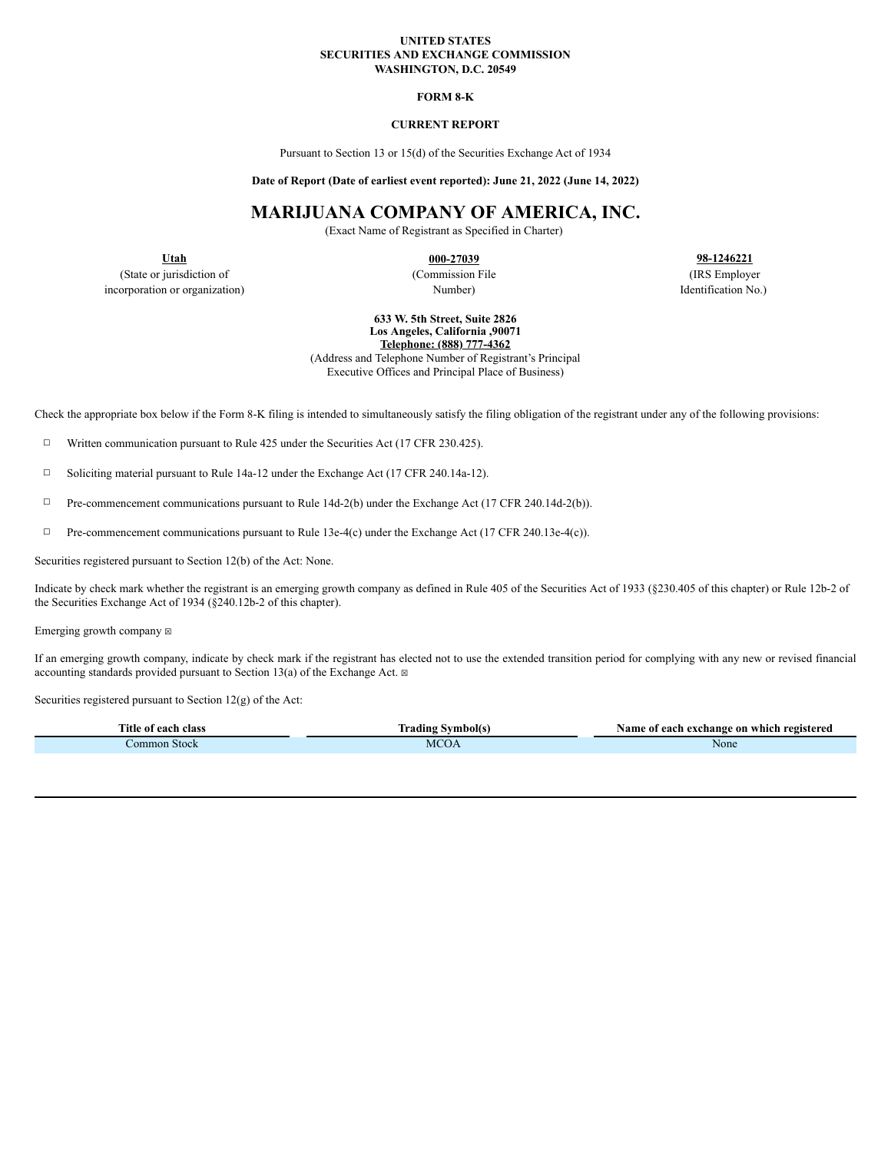#### **UNITED STATES SECURITIES AND EXCHANGE COMMISSION WASHINGTON, D.C. 20549**

#### **FORM 8-K**

### **CURRENT REPORT**

Pursuant to Section 13 or 15(d) of the Securities Exchange Act of 1934

**Date of Report (Date of earliest event reported): June 21, 2022 (June 14, 2022)**

# **MARIJUANA COMPANY OF AMERICA, INC.**

(Exact Name of Registrant as Specified in Charter)

(State or jurisdiction of the commission File (Commission File (IRS Employer) (IRS Employer<br>
or or organization (IRS Employer Number) Number (IRS Employer Number) (IRS Employer incorporation or organization) and the extension of the Number Number and South Association No.)

**Utah 000-27039 98-1246221**

**633 W. 5th Street, Suite 2826 Los Angeles, California ,90071 Telephone: (888) 777-4362**

(Address and Telephone Number of Registrant's Principal Executive Offices and Principal Place of Business)

Check the appropriate box below if the Form 8-K filing is intended to simultaneously satisfy the filing obligation of the registrant under any of the following provisions:

☐ Written communication pursuant to Rule 425 under the Securities Act (17 CFR 230.425).

☐ Soliciting material pursuant to Rule 14a-12 under the Exchange Act (17 CFR 240.14a-12).

☐ Pre-commencement communications pursuant to Rule 14d-2(b) under the Exchange Act (17 CFR 240.14d-2(b)).

☐ Pre-commencement communications pursuant to Rule 13e-4(c) under the Exchange Act (17 CFR 240.13e-4(c)).

Securities registered pursuant to Section 12(b) of the Act: None.

Indicate by check mark whether the registrant is an emerging growth company as defined in Rule 405 of the Securities Act of 1933 (§230.405 of this chapter) or Rule 12b-2 of the Securities Exchange Act of 1934 (§240.12b-2 of this chapter).

Emerging growth company  $\boxtimes$ 

If an emerging growth company, indicate by check mark if the registrant has elected not to use the extended transition period for complying with any new or revised financial accounting standards provided pursuant to Section 13(a) of the Exchange Act.  $\boxtimes$ 

Securities registered pursuant to Section 12(g) of the Act:

| rane.<br>Litle<br>class<br>each<br>` 01 | Tradıng<br>Avmbol(x | Name of<br>* each exchange on which registered * |
|-----------------------------------------|---------------------|--------------------------------------------------|
| Common Stock                            | M<br>$\bigcup A$    | None                                             |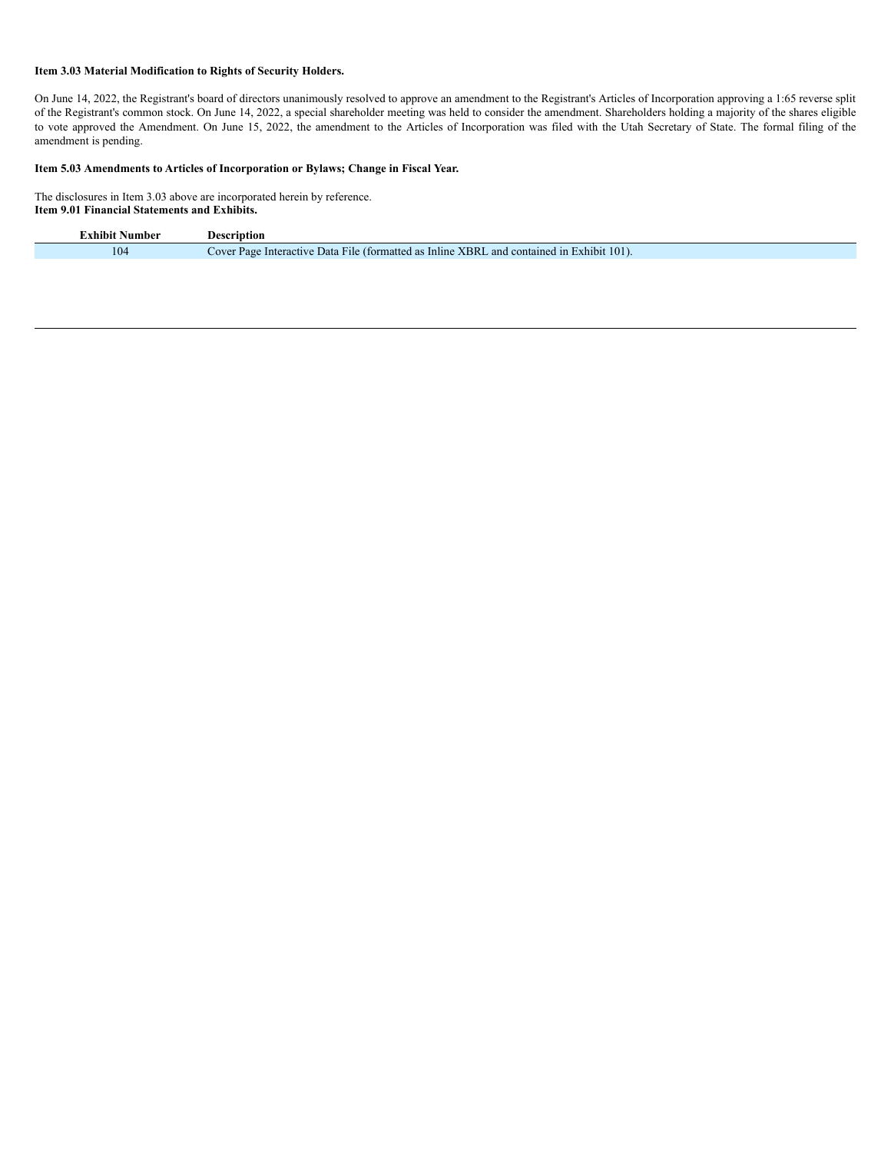## **Item 3.03 Material Modification to Rights of Security Holders.**

On June 14, 2022, the Registrant's board of directors unanimously resolved to approve an amendment to the Registrant's Articles of Incorporation approving a 1:65 reverse split of the Registrant's common stock. On June 14, 2022, a special shareholder meeting was held to consider the amendment. Shareholders holding a majority of the shares eligible to vote approved the Amendment. On June 15, 2022, the amendment to the Articles of Incorporation was filed with the Utah Secretary of State. The formal filing of the amendment is pending.

#### **Item 5.03 Amendments to Articles of Incorporation or Bylaws; Change in Fiscal Year.**

The disclosures in Item 3.03 above are incorporated herein by reference. **Item 9.01 Financial Statements and Exhibits.**

| <b>Exhibit Number</b> | Description                                                                               |
|-----------------------|-------------------------------------------------------------------------------------------|
| 104                   | Cover Page Interactive Data File (formatted as Inline XBRL and contained in Exhibit 101). |